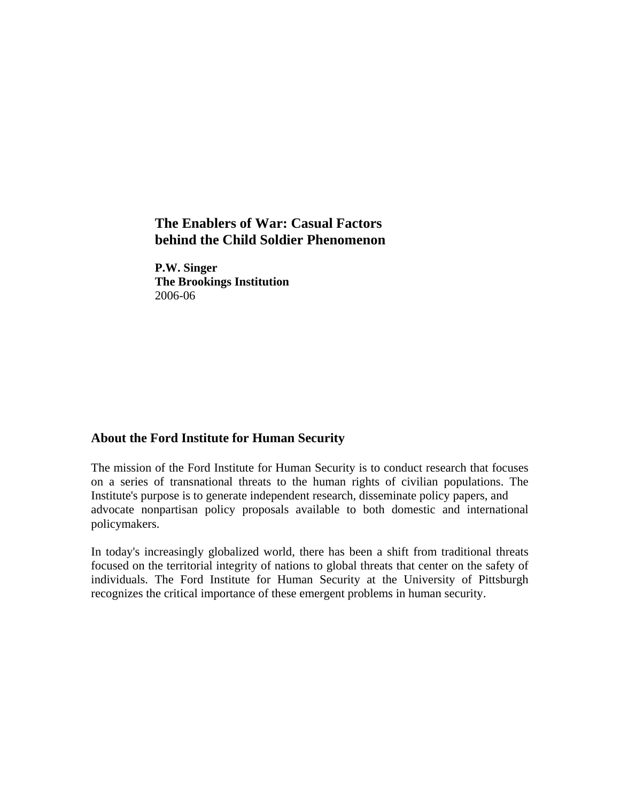# **The Enablers of War: Casual Factors behind the Child Soldier Phenomenon**

**P.W. Singer The Brookings Institution**  2006-06

# **About the Ford Institute for Human Security**

The mission of the Ford Institute for Human Security is to conduct research that focuses on a series of transnational threats to the human rights of civilian populations. The Institute's purpose is to generate independent research, disseminate policy papers, and advocate nonpartisan policy proposals available to both domestic and international policymakers.

In today's increasingly globalized world, there has been a shift from traditional threats focused on the territorial integrity of nations to global threats that center on the safety of individuals. The Ford Institute for Human Security at the University of Pittsburgh recognizes the critical importance of these emergent problems in human security.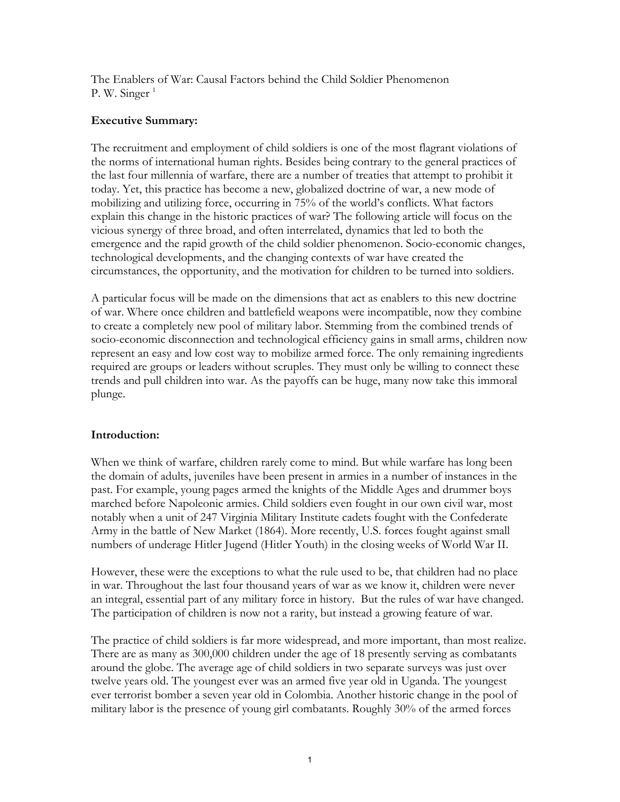The Enablers of War: Causal Factors behind the Child Soldier Phenomenon P. W. Singer $<sup>1</sup>$ </sup>

# **Executive Summary:**

The recruitment and employment of child soldiers is one of the most flagrant violations of the norms of international human rights. Besides being contrary to the general practices of the last four millennia of warfare, there are a number of treaties that attempt to prohibit it today. Yet, this practice has become a new, globalized doctrine of war, a new mode of mobilizing and utilizing force, occurring in 75% of the world's conflicts. What factors explain this change in the historic practices of war? The following article will focus on the vicious synergy of three broad, and often interrelated, dynamics that led to both the emergence and the rapid growth of the child soldier phenomenon. Socio-economic changes, technological developments, and the changing contexts of war have created the circumstances, the opportunity, and the motivation for children to be turned into soldiers.

A particular focus will be made on the dimensions that act as enablers to this new doctrine of war. Where once children and battlefield weapons were incompatible, now they combine to create a completely new pool of military labor. Stemming from the combined trends of socio-economic disconnection and technological efficiency gains in small arms, children now represent an easy and low cost way to mobilize armed force. The only remaining ingredients required are groups or leaders without scruples. They must only be willing to connect these trends and pull children into war. As the payoffs can be huge, many now take this immoral plunge.

# **Introduction:**

When we think of warfare, children rarely come to mind. But while warfare has long been the domain of adults, juveniles have been present in armies in a number of instances in the past. For example, young pages armed the knights of the Middle Ages and drummer boys marched before Napoleonic armies. Child soldiers even fought in our own civil war, most notably when a unit of 247 Virginia Military Institute cadets fought with the Confederate Army in the battle of New Market (1864). More recently, U.S. forces fought against small numbers of underage Hitler Jugend (Hitler Youth) in the closing weeks of World War II.

However, these were the exceptions to what the rule used to be, that children had no place in war. Throughout the last four thousand years of war as we know it, children were never an integral, essential part of any military force in history. But the rules of war have changed. The participation of children is now not a rarity, but instead a growing feature of war.

The practice of child soldiers is far more widespread, and more important, than most realize. There are as many as 300,000 children under the age of 18 presently serving as combatants around the globe. The average age of child soldiers in two separate surveys was just over twelve years old. The youngest ever was an armed five year old in Uganda. The youngest ever terrorist bomber a seven year old in Colombia. Another historic change in the pool of military labor is the presence of young girl combatants. Roughly 30% of the armed forces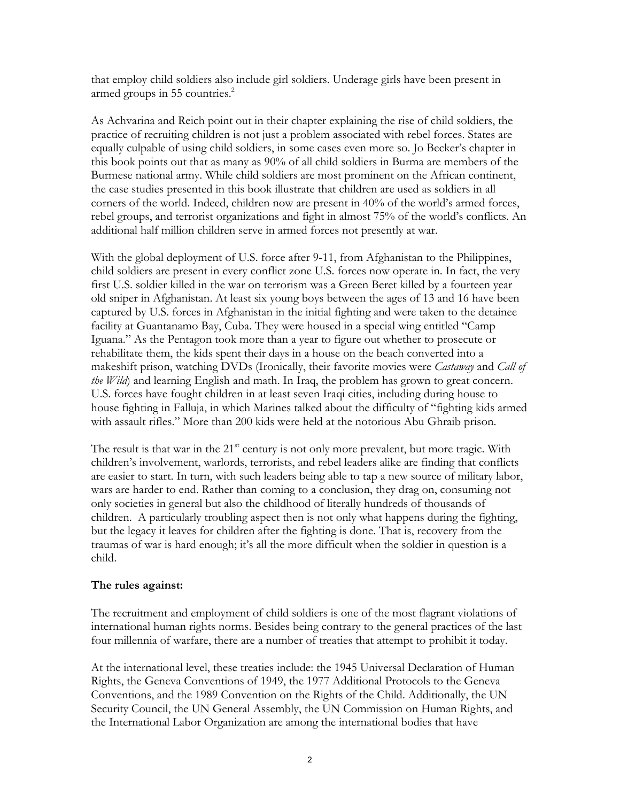that employ child soldiers also include girl soldiers. Underage girls have been present in armed groups in  $55$  countries.<sup>2</sup>

As Achvarina and Reich point out in their chapter explaining the rise of child soldiers, the practice of recruiting children is not just a problem associated with rebel forces. States are equally culpable of using child soldiers, in some cases even more so. Jo Becker's chapter in this book points out that as many as 90% of all child soldiers in Burma are members of the Burmese national army. While child soldiers are most prominent on the African continent, the case studies presented in this book illustrate that children are used as soldiers in all corners of the world. Indeed, children now are present in 40% of the world's armed forces, rebel groups, and terrorist organizations and fight in almost 75% of the world's conflicts. An additional half million children serve in armed forces not presently at war.

With the global deployment of U.S. force after 9-11, from Afghanistan to the Philippines, child soldiers are present in every conflict zone U.S. forces now operate in. In fact, the very first U.S. soldier killed in the war on terrorism was a Green Beret killed by a fourteen year old sniper in Afghanistan. At least six young boys between the ages of 13 and 16 have been captured by U.S. forces in Afghanistan in the initial fighting and were taken to the detainee facility at Guantanamo Bay, Cuba. They were housed in a special wing entitled "Camp Iguana." As the Pentagon took more than a year to figure out whether to prosecute or rehabilitate them, the kids spent their days in a house on the beach converted into a makeshift prison, watching DVDs (Ironically, their favorite movies were *Castaway* and *Call of the Wild*) and learning English and math. In Iraq, the problem has grown to great concern. U.S. forces have fought children in at least seven Iraqi cities, including during house to house fighting in Falluja, in which Marines talked about the difficulty of "fighting kids armed with assault rifles." More than 200 kids were held at the notorious Abu Ghraib prison.

The result is that war in the  $21<sup>st</sup>$  century is not only more prevalent, but more tragic. With children's involvement, warlords, terrorists, and rebel leaders alike are finding that conflicts are easier to start. In turn, with such leaders being able to tap a new source of military labor, wars are harder to end. Rather than coming to a conclusion, they drag on, consuming not only societies in general but also the childhood of literally hundreds of thousands of children. A particularly troubling aspect then is not only what happens during the fighting, but the legacy it leaves for children after the fighting is done. That is, recovery from the traumas of war is hard enough; it's all the more difficult when the soldier in question is a child.

### **The rules against:**

The recruitment and employment of child soldiers is one of the most flagrant violations of international human rights norms. Besides being contrary to the general practices of the last four millennia of warfare, there are a number of treaties that attempt to prohibit it today.

At the international level, these treaties include: the 1945 Universal Declaration of Human Rights, the Geneva Conventions of 1949, the 1977 Additional Protocols to the Geneva Conventions, and the 1989 Convention on the Rights of the Child. Additionally, the UN Security Council, the UN General Assembly, the UN Commission on Human Rights, and the International Labor Organization are among the international bodies that have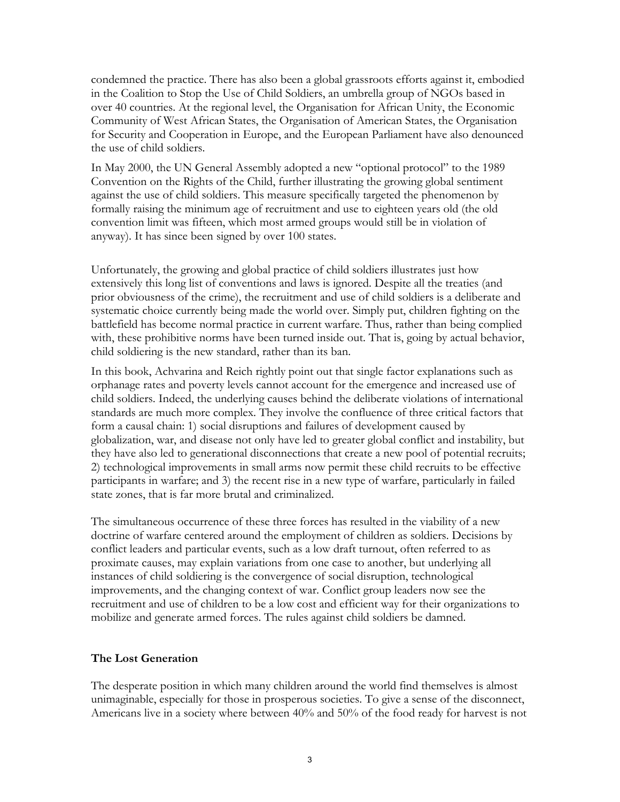condemned the practice. There has also been a global grassroots efforts against it, embodied in the Coalition to Stop the Use of Child Soldiers, an umbrella group of NGOs based in over 40 countries. At the regional level, the Organisation for African Unity, the Economic Community of West African States, the Organisation of American States, the Organisation for Security and Cooperation in Europe, and the European Parliament have also denounced the use of child soldiers.

In May 2000, the UN General Assembly adopted a new "optional protocol" to the 1989 Convention on the Rights of the Child, further illustrating the growing global sentiment against the use of child soldiers. This measure specifically targeted the phenomenon by formally raising the minimum age of recruitment and use to eighteen years old (the old convention limit was fifteen, which most armed groups would still be in violation of anyway). It has since been signed by over 100 states.

Unfortunately, the growing and global practice of child soldiers illustrates just how extensively this long list of conventions and laws is ignored. Despite all the treaties (and prior obviousness of the crime), the recruitment and use of child soldiers is a deliberate and systematic choice currently being made the world over. Simply put, children fighting on the battlefield has become normal practice in current warfare. Thus, rather than being complied with, these prohibitive norms have been turned inside out. That is, going by actual behavior, child soldiering is the new standard, rather than its ban.

In this book, Achvarina and Reich rightly point out that single factor explanations such as orphanage rates and poverty levels cannot account for the emergence and increased use of child soldiers. Indeed, the underlying causes behind the deliberate violations of international standards are much more complex. They involve the confluence of three critical factors that form a causal chain: 1) social disruptions and failures of development caused by globalization, war, and disease not only have led to greater global conflict and instability, but they have also led to generational disconnections that create a new pool of potential recruits; 2) technological improvements in small arms now permit these child recruits to be effective participants in warfare; and 3) the recent rise in a new type of warfare, particularly in failed state zones, that is far more brutal and criminalized.

The simultaneous occurrence of these three forces has resulted in the viability of a new doctrine of warfare centered around the employment of children as soldiers. Decisions by conflict leaders and particular events, such as a low draft turnout, often referred to as proximate causes, may explain variations from one case to another, but underlying all instances of child soldiering is the convergence of social disruption, technological improvements, and the changing context of war. Conflict group leaders now see the recruitment and use of children to be a low cost and efficient way for their organizations to mobilize and generate armed forces. The rules against child soldiers be damned.

#### **The Lost Generation**

The desperate position in which many children around the world find themselves is almost unimaginable, especially for those in prosperous societies. To give a sense of the disconnect, Americans live in a society where between 40% and 50% of the food ready for harvest is not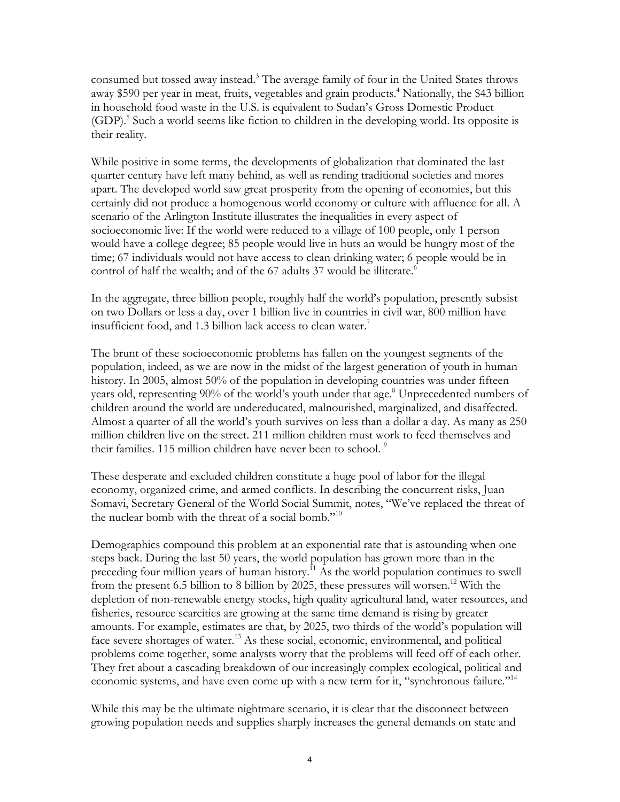consumed but tossed away instead.<sup>3</sup> The average family of four in the United States throws away \$590 per year in meat, fruits, vegetables and grain products.<sup>4</sup> Nationally, the \$43 billion in household food waste in the U.S. is equivalent to Sudan's Gross Domestic Product (GDP).<sup>5</sup> Such a world seems like fiction to children in the developing world. Its opposite is their reality.

While positive in some terms, the developments of globalization that dominated the last quarter century have left many behind, as well as rending traditional societies and mores apart. The developed world saw great prosperity from the opening of economies, but this certainly did not produce a homogenous world economy or culture with affluence for all. A scenario of the Arlington Institute illustrates the inequalities in every aspect of socioeconomic live: If the world were reduced to a village of 100 people, only 1 person would have a college degree; 85 people would live in huts an would be hungry most of the time; 67 individuals would not have access to clean drinking water; 6 people would be in control of half the wealth; and of the 67 adults 37 would be illiterate. $6$ 

In the aggregate, three billion people, roughly half the world's population, presently subsist on two Dollars or less a day, over 1 billion live in countries in civil war, 800 million have insufficient food, and 1.3 billion lack access to clean water.<sup>7</sup>

The brunt of these socioeconomic problems has fallen on the youngest segments of the population, indeed, as we are now in the midst of the largest generation of youth in human history. In 2005, almost 50% of the population in developing countries was under fifteen years old, representing 90% of the world's youth under that age.<sup>8</sup> Unprecedented numbers of children around the world are undereducated, malnourished, marginalized, and disaffected. Almost a quarter of all the world's youth survives on less than a dollar a day. As many as 250 million children live on the street. 211 million children must work to feed themselves and their families. 115 million children have never been to school.<sup>9</sup>

These desperate and excluded children constitute a huge pool of labor for the illegal economy, organized crime, and armed conflicts. In describing the concurrent risks, Juan Somavi, Secretary General of the World Social Summit, notes, "We've replaced the threat of the nuclear bomb with the threat of a social bomb."<sup>10</sup>

Demographics compound this problem at an exponential rate that is astounding when one steps back. During the last 50 years, the world population has grown more than in the preceding four million years of human history.<sup>11</sup> As the world population continues to swell from the present 6.5 billion to 8 billion by 2025, these pressures will worsen.<sup>12</sup> With the depletion of non-renewable energy stocks, high quality agricultural land, water resources, and fisheries, resource scarcities are growing at the same time demand is rising by greater amounts. For example, estimates are that, by 2025, two thirds of the world's population will face severe shortages of water.<sup>13</sup> As these social, economic, environmental, and political problems come together, some analysts worry that the problems will feed off of each other. They fret about a cascading breakdown of our increasingly complex ecological, political and economic systems, and have even come up with a new term for it, "synchronous failure."<sup>14</sup>

While this may be the ultimate nightmare scenario, it is clear that the disconnect between growing population needs and supplies sharply increases the general demands on state and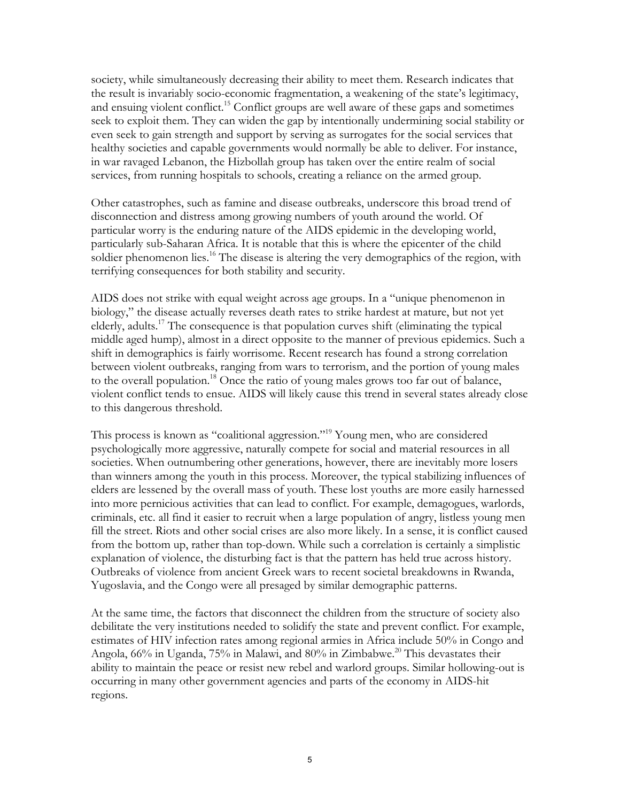society, while simultaneously decreasing their ability to meet them. Research indicates that the result is invariably socio-economic fragmentation, a weakening of the state's legitimacy, and ensuing violent conflict.<sup>15</sup> Conflict groups are well aware of these gaps and sometimes seek to exploit them. They can widen the gap by intentionally undermining social stability or even seek to gain strength and support by serving as surrogates for the social services that healthy societies and capable governments would normally be able to deliver. For instance, in war ravaged Lebanon, the Hizbollah group has taken over the entire realm of social services, from running hospitals to schools, creating a reliance on the armed group.

Other catastrophes, such as famine and disease outbreaks, underscore this broad trend of disconnection and distress among growing numbers of youth around the world. Of particular worry is the enduring nature of the AIDS epidemic in the developing world, particularly sub-Saharan Africa. It is notable that this is where the epicenter of the child soldier phenomenon lies.<sup>16</sup> The disease is altering the very demographics of the region, with terrifying consequences for both stability and security.

AIDS does not strike with equal weight across age groups. In a "unique phenomenon in biology," the disease actually reverses death rates to strike hardest at mature, but not yet elderly, adults.<sup>17</sup> The consequence is that population curves shift (eliminating the typical middle aged hump), almost in a direct opposite to the manner of previous epidemics. Such a shift in demographics is fairly worrisome. Recent research has found a strong correlation between violent outbreaks, ranging from wars to terrorism, and the portion of young males to the overall population.<sup>18</sup> Once the ratio of young males grows too far out of balance, violent conflict tends to ensue. AIDS will likely cause this trend in several states already close to this dangerous threshold.

This process is known as "coalitional aggression."19 Young men, who are considered psychologically more aggressive, naturally compete for social and material resources in all societies. When outnumbering other generations, however, there are inevitably more losers than winners among the youth in this process. Moreover, the typical stabilizing influences of elders are lessened by the overall mass of youth. These lost youths are more easily harnessed into more pernicious activities that can lead to conflict. For example, demagogues, warlords, criminals, etc. all find it easier to recruit when a large population of angry, listless young men fill the street. Riots and other social crises are also more likely. In a sense, it is conflict caused from the bottom up, rather than top-down. While such a correlation is certainly a simplistic explanation of violence, the disturbing fact is that the pattern has held true across history. Outbreaks of violence from ancient Greek wars to recent societal breakdowns in Rwanda, Yugoslavia, and the Congo were all presaged by similar demographic patterns.

At the same time, the factors that disconnect the children from the structure of society also debilitate the very institutions needed to solidify the state and prevent conflict. For example, estimates of HIV infection rates among regional armies in Africa include 50% in Congo and Angola, 66% in Uganda, 75% in Malawi, and 80% in Zimbabwe.<sup>20</sup> This devastates their ability to maintain the peace or resist new rebel and warlord groups. Similar hollowing-out is occurring in many other government agencies and parts of the economy in AIDS-hit regions.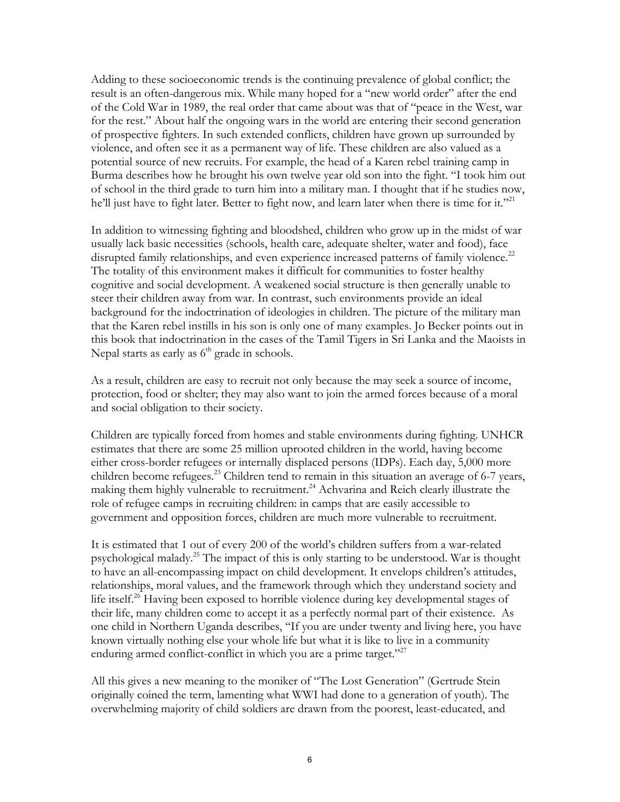Adding to these socioeconomic trends is the continuing prevalence of global conflict; the result is an often-dangerous mix. While many hoped for a "new world order" after the end of the Cold War in 1989, the real order that came about was that of "peace in the West, war for the rest." About half the ongoing wars in the world are entering their second generation of prospective fighters. In such extended conflicts, children have grown up surrounded by violence, and often see it as a permanent way of life. These children are also valued as a potential source of new recruits. For example, the head of a Karen rebel training camp in Burma describes how he brought his own twelve year old son into the fight. "I took him out of school in the third grade to turn him into a military man. I thought that if he studies now, he'll just have to fight later. Better to fight now, and learn later when there is time for it."<sup>21</sup>

In addition to witnessing fighting and bloodshed, children who grow up in the midst of war usually lack basic necessities (schools, health care, adequate shelter, water and food), face disrupted family relationships, and even experience increased patterns of family violence.<sup>22</sup> The totality of this environment makes it difficult for communities to foster healthy cognitive and social development. A weakened social structure is then generally unable to steer their children away from war. In contrast, such environments provide an ideal background for the indoctrination of ideologies in children. The picture of the military man that the Karen rebel instills in his son is only one of many examples. Jo Becker points out in this book that indoctrination in the cases of the Tamil Tigers in Sri Lanka and the Maoists in Nepal starts as early as  $6<sup>th</sup>$  grade in schools.

As a result, children are easy to recruit not only because the may seek a source of income, protection, food or shelter; they may also want to join the armed forces because of a moral and social obligation to their society.

Children are typically forced from homes and stable environments during fighting. UNHCR estimates that there are some 25 million uprooted children in the world, having become either cross-border refugees or internally displaced persons (IDPs). Each day, 5,000 more children become refugees.<sup>23</sup> Children tend to remain in this situation an average of 6-7 years, making them highly vulnerable to recruitment.<sup>24</sup> Achvarina and Reich clearly illustrate the role of refugee camps in recruiting children: in camps that are easily accessible to government and opposition forces, children are much more vulnerable to recruitment.

It is estimated that 1 out of every 200 of the world's children suffers from a war-related psychological malady.25 The impact of this is only starting to be understood. War is thought to have an all-encompassing impact on child development. It envelops children's attitudes, relationships, moral values, and the framework through which they understand society and life itself.<sup>26</sup> Having been exposed to horrible violence during key developmental stages of their life, many children come to accept it as a perfectly normal part of their existence. As one child in Northern Uganda describes, "If you are under twenty and living here, you have known virtually nothing else your whole life but what it is like to live in a community enduring armed conflict-conflict in which you are a prime target."<sup>27</sup>

All this gives a new meaning to the moniker of "The Lost Generation" (Gertrude Stein originally coined the term, lamenting what WWI had done to a generation of youth). The overwhelming majority of child soldiers are drawn from the poorest, least-educated, and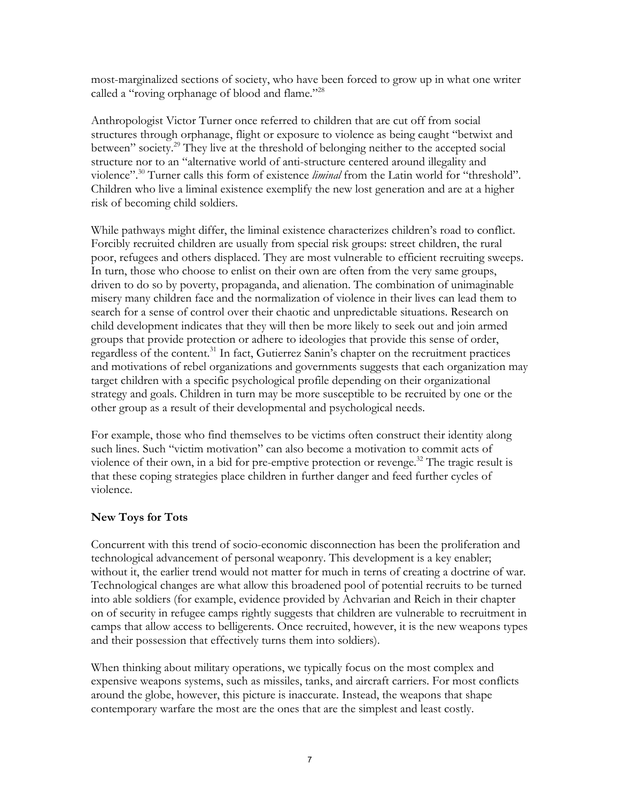most-marginalized sections of society, who have been forced to grow up in what one writer called a "roving orphanage of blood and flame."<sup>28</sup>

Anthropologist Victor Turner once referred to children that are cut off from social structures through orphanage, flight or exposure to violence as being caught "betwixt and between" society.<sup>29</sup> They live at the threshold of belonging neither to the accepted social structure nor to an "alternative world of anti-structure centered around illegality and violence".30 Turner calls this form of existence *liminal* from the Latin world for "threshold". Children who live a liminal existence exemplify the new lost generation and are at a higher risk of becoming child soldiers.

While pathways might differ, the liminal existence characterizes children's road to conflict. Forcibly recruited children are usually from special risk groups: street children, the rural poor, refugees and others displaced. They are most vulnerable to efficient recruiting sweeps. In turn, those who choose to enlist on their own are often from the very same groups, driven to do so by poverty, propaganda, and alienation. The combination of unimaginable misery many children face and the normalization of violence in their lives can lead them to search for a sense of control over their chaotic and unpredictable situations. Research on child development indicates that they will then be more likely to seek out and join armed groups that provide protection or adhere to ideologies that provide this sense of order, regardless of the content.31 In fact, Gutierrez Sanin's chapter on the recruitment practices and motivations of rebel organizations and governments suggests that each organization may target children with a specific psychological profile depending on their organizational strategy and goals. Children in turn may be more susceptible to be recruited by one or the other group as a result of their developmental and psychological needs.

For example, those who find themselves to be victims often construct their identity along such lines. Such "victim motivation" can also become a motivation to commit acts of violence of their own, in a bid for pre-emptive protection or revenge.<sup>32</sup> The tragic result is that these coping strategies place children in further danger and feed further cycles of violence.

### **New Toys for Tots**

Concurrent with this trend of socio-economic disconnection has been the proliferation and technological advancement of personal weaponry. This development is a key enabler; without it, the earlier trend would not matter for much in terns of creating a doctrine of war. Technological changes are what allow this broadened pool of potential recruits to be turned into able soldiers (for example, evidence provided by Achvarian and Reich in their chapter on of security in refugee camps rightly suggests that children are vulnerable to recruitment in camps that allow access to belligerents. Once recruited, however, it is the new weapons types and their possession that effectively turns them into soldiers).

When thinking about military operations, we typically focus on the most complex and expensive weapons systems, such as missiles, tanks, and aircraft carriers. For most conflicts around the globe, however, this picture is inaccurate. Instead, the weapons that shape contemporary warfare the most are the ones that are the simplest and least costly.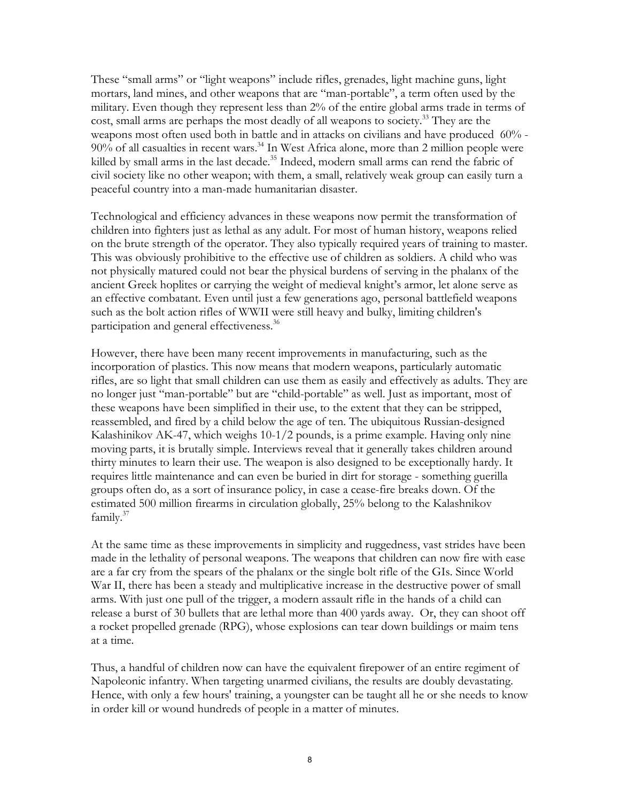These "small arms" or "light weapons" include rifles, grenades, light machine guns, light mortars, land mines, and other weapons that are "man-portable", a term often used by the military. Even though they represent less than 2% of the entire global arms trade in terms of cost, small arms are perhaps the most deadly of all weapons to society.<sup>33</sup> They are the weapons most often used both in battle and in attacks on civilians and have produced 60% -  $90\%$  of all casualties in recent wars.<sup>34</sup> In West Africa alone, more than 2 million people were killed by small arms in the last decade.<sup>35</sup> Indeed, modern small arms can rend the fabric of civil society like no other weapon; with them, a small, relatively weak group can easily turn a peaceful country into a man-made humanitarian disaster.

Technological and efficiency advances in these weapons now permit the transformation of children into fighters just as lethal as any adult. For most of human history, weapons relied on the brute strength of the operator. They also typically required years of training to master. This was obviously prohibitive to the effective use of children as soldiers. A child who was not physically matured could not bear the physical burdens of serving in the phalanx of the ancient Greek hoplites or carrying the weight of medieval knight's armor, let alone serve as an effective combatant. Even until just a few generations ago, personal battlefield weapons such as the bolt action rifles of WWII were still heavy and bulky, limiting children's participation and general effectiveness.<sup>36</sup>

However, there have been many recent improvements in manufacturing, such as the incorporation of plastics. This now means that modern weapons, particularly automatic rifles, are so light that small children can use them as easily and effectively as adults. They are no longer just "man-portable" but are "child-portable" as well. Just as important, most of these weapons have been simplified in their use, to the extent that they can be stripped, reassembled, and fired by a child below the age of ten. The ubiquitous Russian-designed Kalashinikov AK-47, which weighs 10-1/2 pounds, is a prime example. Having only nine moving parts, it is brutally simple. Interviews reveal that it generally takes children around thirty minutes to learn their use. The weapon is also designed to be exceptionally hardy. It requires little maintenance and can even be buried in dirt for storage - something guerilla groups often do, as a sort of insurance policy, in case a cease-fire breaks down. Of the estimated 500 million firearms in circulation globally, 25% belong to the Kalashnikov family.<sup>37</sup>

At the same time as these improvements in simplicity and ruggedness, vast strides have been made in the lethality of personal weapons. The weapons that children can now fire with ease are a far cry from the spears of the phalanx or the single bolt rifle of the GIs. Since World War II, there has been a steady and multiplicative increase in the destructive power of small arms. With just one pull of the trigger, a modern assault rifle in the hands of a child can release a burst of 30 bullets that are lethal more than 400 yards away. Or, they can shoot off a rocket propelled grenade (RPG), whose explosions can tear down buildings or maim tens at a time.

Thus, a handful of children now can have the equivalent firepower of an entire regiment of Napoleonic infantry. When targeting unarmed civilians, the results are doubly devastating. Hence, with only a few hours' training, a youngster can be taught all he or she needs to know in order kill or wound hundreds of people in a matter of minutes.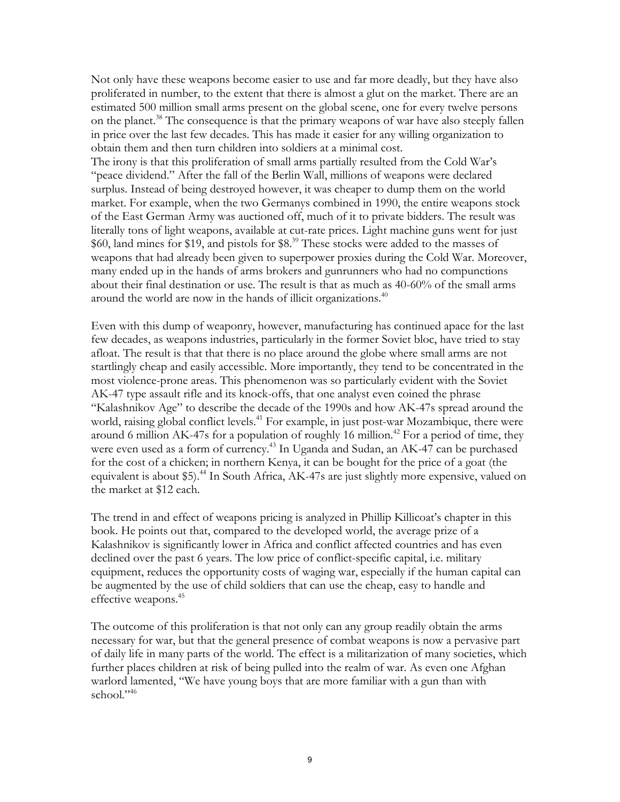Not only have these weapons become easier to use and far more deadly, but they have also proliferated in number, to the extent that there is almost a glut on the market. There are an estimated 500 million small arms present on the global scene, one for every twelve persons on the planet.<sup>38</sup> The consequence is that the primary weapons of war have also steeply fallen in price over the last few decades. This has made it easier for any willing organization to obtain them and then turn children into soldiers at a minimal cost.

The irony is that this proliferation of small arms partially resulted from the Cold War's "peace dividend." After the fall of the Berlin Wall, millions of weapons were declared surplus. Instead of being destroyed however, it was cheaper to dump them on the world market. For example, when the two Germanys combined in 1990, the entire weapons stock of the East German Army was auctioned off, much of it to private bidders. The result was literally tons of light weapons, available at cut-rate prices. Light machine guns went for just \$60, land mines for \$19, and pistols for \$8.<sup>39</sup> These stocks were added to the masses of weapons that had already been given to superpower proxies during the Cold War. Moreover, many ended up in the hands of arms brokers and gunrunners who had no compunctions about their final destination or use. The result is that as much as 40-60% of the small arms around the world are now in the hands of illicit organizations.<sup>40</sup>

Even with this dump of weaponry, however, manufacturing has continued apace for the last few decades, as weapons industries, particularly in the former Soviet bloc, have tried to stay afloat. The result is that that there is no place around the globe where small arms are not startlingly cheap and easily accessible. More importantly, they tend to be concentrated in the most violence-prone areas. This phenomenon was so particularly evident with the Soviet AK-47 type assault rifle and its knock-offs, that one analyst even coined the phrase "Kalashnikov Age" to describe the decade of the 1990s and how AK-47s spread around the world, raising global conflict levels.<sup>41</sup> For example, in just post-war Mozambique, there were around 6 million  $AK-47s$  for a population of roughly 16 million.<sup>42</sup> For a period of time, they were even used as a form of currency.<sup>43</sup> In Uganda and Sudan, an AK-47 can be purchased for the cost of a chicken; in northern Kenya, it can be bought for the price of a goat (the equivalent is about \$5).<sup>44</sup> In South Africa, AK-47s are just slightly more expensive, valued on the market at \$12 each.

The trend in and effect of weapons pricing is analyzed in Phillip Killicoat's chapter in this book. He points out that, compared to the developed world, the average prize of a Kalashnikov is significantly lower in Africa and conflict affected countries and has even declined over the past 6 years. The low price of conflict-specific capital, i.e. military equipment, reduces the opportunity costs of waging war, especially if the human capital can be augmented by the use of child soldiers that can use the cheap, easy to handle and effective weapons.<sup>45</sup>

The outcome of this proliferation is that not only can any group readily obtain the arms necessary for war, but that the general presence of combat weapons is now a pervasive part of daily life in many parts of the world. The effect is a militarization of many societies, which further places children at risk of being pulled into the realm of war. As even one Afghan warlord lamented, "We have young boys that are more familiar with a gun than with school."<sup>46</sup>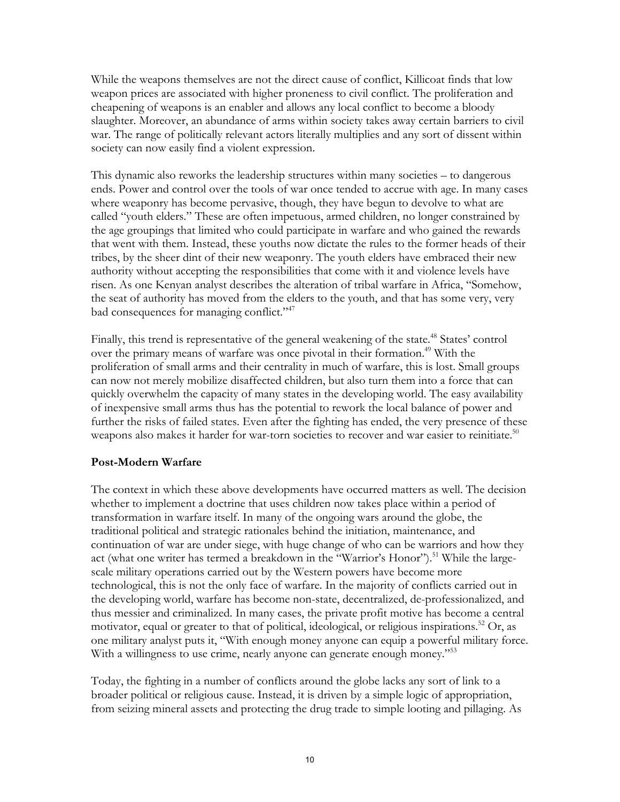While the weapons themselves are not the direct cause of conflict, Killicoat finds that low weapon prices are associated with higher proneness to civil conflict. The proliferation and cheapening of weapons is an enabler and allows any local conflict to become a bloody slaughter. Moreover, an abundance of arms within society takes away certain barriers to civil war. The range of politically relevant actors literally multiplies and any sort of dissent within society can now easily find a violent expression.

This dynamic also reworks the leadership structures within many societies – to dangerous ends. Power and control over the tools of war once tended to accrue with age. In many cases where weaponry has become pervasive, though, they have begun to devolve to what are called "youth elders." These are often impetuous, armed children, no longer constrained by the age groupings that limited who could participate in warfare and who gained the rewards that went with them. Instead, these youths now dictate the rules to the former heads of their tribes, by the sheer dint of their new weaponry. The youth elders have embraced their new authority without accepting the responsibilities that come with it and violence levels have risen. As one Kenyan analyst describes the alteration of tribal warfare in Africa, "Somehow, the seat of authority has moved from the elders to the youth, and that has some very, very bad consequences for managing conflict."<sup>47</sup>

Finally, this trend is representative of the general weakening of the state.<sup>48</sup> States' control over the primary means of warfare was once pivotal in their formation.<sup>49</sup> With the proliferation of small arms and their centrality in much of warfare, this is lost. Small groups can now not merely mobilize disaffected children, but also turn them into a force that can quickly overwhelm the capacity of many states in the developing world. The easy availability of inexpensive small arms thus has the potential to rework the local balance of power and further the risks of failed states. Even after the fighting has ended, the very presence of these weapons also makes it harder for war-torn societies to recover and war easier to reinitiate.<sup>50</sup>

### **Post-Modern Warfare**

The context in which these above developments have occurred matters as well. The decision whether to implement a doctrine that uses children now takes place within a period of transformation in warfare itself. In many of the ongoing wars around the globe, the traditional political and strategic rationales behind the initiation, maintenance, and continuation of war are under siege, with huge change of who can be warriors and how they act (what one writer has termed a breakdown in the "Warrior's Honor").<sup>51</sup> While the largescale military operations carried out by the Western powers have become more technological, this is not the only face of warfare. In the majority of conflicts carried out in the developing world, warfare has become non-state, decentralized, de-professionalized, and thus messier and criminalized. In many cases, the private profit motive has become a central motivator, equal or greater to that of political, ideological, or religious inspirations.<sup>52</sup> Or, as one military analyst puts it, "With enough money anyone can equip a powerful military force. With a willingness to use crime, nearly anyone can generate enough money."<sup>53</sup>

Today, the fighting in a number of conflicts around the globe lacks any sort of link to a broader political or religious cause. Instead, it is driven by a simple logic of appropriation, from seizing mineral assets and protecting the drug trade to simple looting and pillaging. As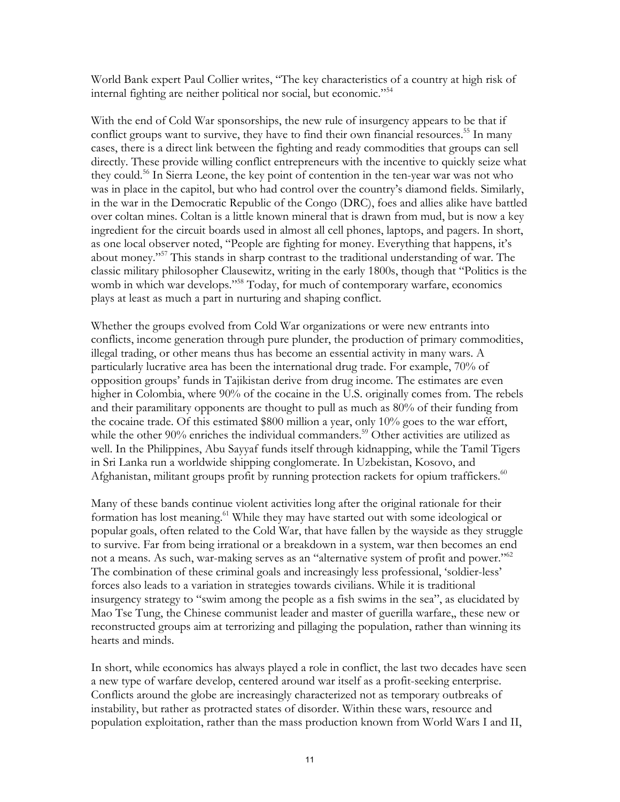World Bank expert Paul Collier writes, "The key characteristics of a country at high risk of internal fighting are neither political nor social, but economic."<sup>54</sup>

With the end of Cold War sponsorships, the new rule of insurgency appears to be that if conflict groups want to survive, they have to find their own financial resources.<sup>55</sup> In many cases, there is a direct link between the fighting and ready commodities that groups can sell directly. These provide willing conflict entrepreneurs with the incentive to quickly seize what they could.56 In Sierra Leone, the key point of contention in the ten-year war was not who was in place in the capitol, but who had control over the country's diamond fields. Similarly, in the war in the Democratic Republic of the Congo (DRC), foes and allies alike have battled over coltan mines. Coltan is a little known mineral that is drawn from mud, but is now a key ingredient for the circuit boards used in almost all cell phones, laptops, and pagers. In short, as one local observer noted, "People are fighting for money. Everything that happens, it's about money."57 This stands in sharp contrast to the traditional understanding of war. The classic military philosopher Clausewitz, writing in the early 1800s, though that "Politics is the womb in which war develops."<sup>58</sup> Today, for much of contemporary warfare, economics plays at least as much a part in nurturing and shaping conflict.

Whether the groups evolved from Cold War organizations or were new entrants into conflicts, income generation through pure plunder, the production of primary commodities, illegal trading, or other means thus has become an essential activity in many wars. A particularly lucrative area has been the international drug trade. For example, 70% of opposition groups' funds in Tajikistan derive from drug income. The estimates are even higher in Colombia, where 90% of the cocaine in the U.S. originally comes from. The rebels and their paramilitary opponents are thought to pull as much as 80% of their funding from the cocaine trade. Of this estimated \$800 million a year, only 10% goes to the war effort, while the other 90% enriches the individual commanders.<sup>59</sup> Other activities are utilized as well. In the Philippines, Abu Sayyaf funds itself through kidnapping, while the Tamil Tigers in Sri Lanka run a worldwide shipping conglomerate. In Uzbekistan, Kosovo, and Afghanistan, militant groups profit by running protection rackets for opium traffickers.<sup>60</sup>

Many of these bands continue violent activities long after the original rationale for their formation has lost meaning.<sup>61</sup> While they may have started out with some ideological or popular goals, often related to the Cold War, that have fallen by the wayside as they struggle to survive. Far from being irrational or a breakdown in a system, war then becomes an end not a means. As such, war-making serves as an "alternative system of profit and power."<sup>62</sup> The combination of these criminal goals and increasingly less professional, 'soldier-less' forces also leads to a variation in strategies towards civilians. While it is traditional insurgency strategy to "swim among the people as a fish swims in the sea", as elucidated by Mao Tse Tung, the Chinese communist leader and master of guerilla warfare,, these new or reconstructed groups aim at terrorizing and pillaging the population, rather than winning its hearts and minds.

In short, while economics has always played a role in conflict, the last two decades have seen a new type of warfare develop, centered around war itself as a profit-seeking enterprise. Conflicts around the globe are increasingly characterized not as temporary outbreaks of instability, but rather as protracted states of disorder. Within these wars, resource and population exploitation, rather than the mass production known from World Wars I and II,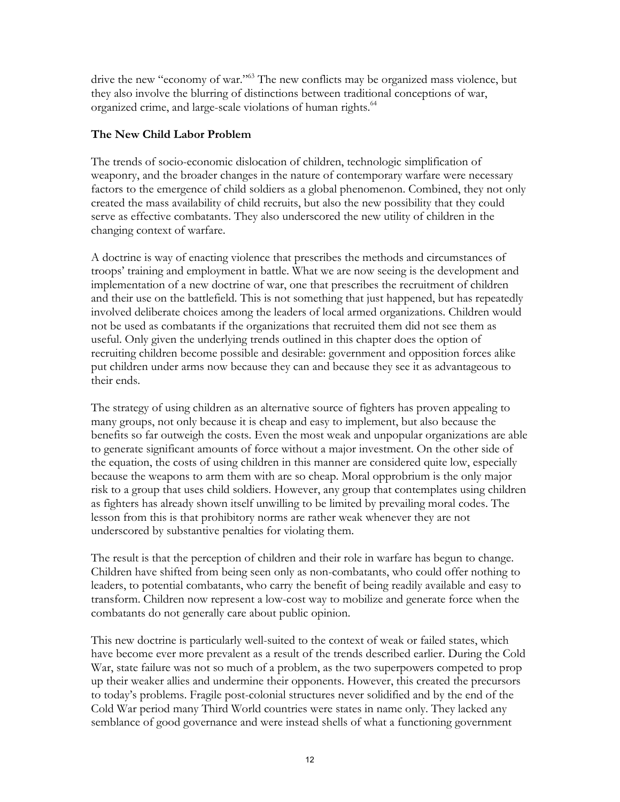drive the new "economy of war."<sup>63</sup> The new conflicts may be organized mass violence, but they also involve the blurring of distinctions between traditional conceptions of war, organized crime, and large-scale violations of human rights.<sup>64</sup>

# **The New Child Labor Problem**

The trends of socio-economic dislocation of children, technologic simplification of weaponry, and the broader changes in the nature of contemporary warfare were necessary factors to the emergence of child soldiers as a global phenomenon. Combined, they not only created the mass availability of child recruits, but also the new possibility that they could serve as effective combatants. They also underscored the new utility of children in the changing context of warfare.

A doctrine is way of enacting violence that prescribes the methods and circumstances of troops' training and employment in battle. What we are now seeing is the development and implementation of a new doctrine of war, one that prescribes the recruitment of children and their use on the battlefield. This is not something that just happened, but has repeatedly involved deliberate choices among the leaders of local armed organizations. Children would not be used as combatants if the organizations that recruited them did not see them as useful. Only given the underlying trends outlined in this chapter does the option of recruiting children become possible and desirable: government and opposition forces alike put children under arms now because they can and because they see it as advantageous to their ends.

The strategy of using children as an alternative source of fighters has proven appealing to many groups, not only because it is cheap and easy to implement, but also because the benefits so far outweigh the costs. Even the most weak and unpopular organizations are able to generate significant amounts of force without a major investment. On the other side of the equation, the costs of using children in this manner are considered quite low, especially because the weapons to arm them with are so cheap. Moral opprobrium is the only major risk to a group that uses child soldiers. However, any group that contemplates using children as fighters has already shown itself unwilling to be limited by prevailing moral codes. The lesson from this is that prohibitory norms are rather weak whenever they are not underscored by substantive penalties for violating them.

The result is that the perception of children and their role in warfare has begun to change. Children have shifted from being seen only as non-combatants, who could offer nothing to leaders, to potential combatants, who carry the benefit of being readily available and easy to transform. Children now represent a low-cost way to mobilize and generate force when the combatants do not generally care about public opinion.

This new doctrine is particularly well-suited to the context of weak or failed states, which have become ever more prevalent as a result of the trends described earlier. During the Cold War, state failure was not so much of a problem, as the two superpowers competed to prop up their weaker allies and undermine their opponents. However, this created the precursors to today's problems. Fragile post-colonial structures never solidified and by the end of the Cold War period many Third World countries were states in name only. They lacked any semblance of good governance and were instead shells of what a functioning government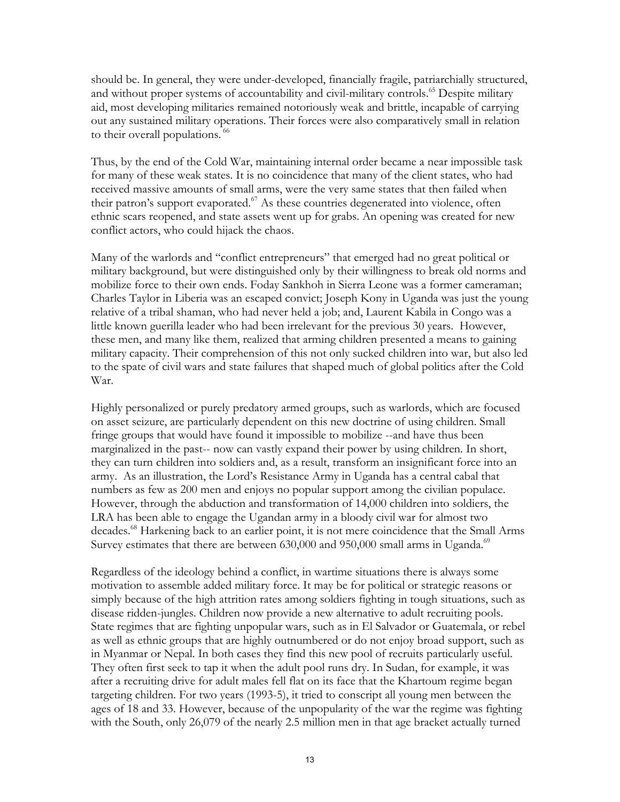should be. In general, they were under-developed, financially fragile, patriarchially structured, and without proper systems of accountability and civil-military controls.<sup>65</sup> Despite military aid, most developing militaries remained notoriously weak and brittle, incapable of carrying out any sustained military operations. Their forces were also comparatively small in relation to their overall populations.<sup>66</sup>

Thus, by the end of the Cold War, maintaining internal order became a near impossible task for many of these weak states. It is no coincidence that many of the client states, who had received massive amounts of small arms, were the very same states that then failed when their patron's support evaporated.<sup>67</sup> As these countries degenerated into violence, often ethnic scars reopened, and state assets went up for grabs. An opening was created for new conflict actors, who could hijack the chaos.

Many of the warlords and "conflict entrepreneurs" that emerged had no great political or military background, but were distinguished only by their willingness to break old norms and mobilize force to their own ends. Foday Sankhoh in Sierra Leone was a former cameraman; Charles Taylor in Liberia was an escaped convict; Joseph Kony in Uganda was just the young relative of a tribal shaman, who had never held a job; and, Laurent Kabila in Congo was a little known guerilla leader who had been irrelevant for the previous 30 years. However, these men, and many like them, realized that arming children presented a means to gaining military capacity. Their comprehension of this not only sucked children into war, but also led to the spate of civil wars and state failures that shaped much of global politics after the Cold War.

Highly personalized or purely predatory armed groups, such as warlords, which are focused on asset seizure, are particularly dependent on this new doctrine of using children. Small fringe groups that would have found it impossible to mobilize --and have thus been marginalized in the past-- now can vastly expand their power by using children. In short, they can turn children into soldiers and, as a result, transform an insignificant force into an army. As an illustration, the Lord's Resistance Army in Uganda has a central cabal that numbers as few as 200 men and enjoys no popular support among the civilian populace. However, through the abduction and transformation of 14,000 children into soldiers, the LRA has been able to engage the Ugandan army in a bloody civil war for almost two decades.<sup>68</sup> Harkening back to an earlier point, it is not mere coincidence that the Small Arms Survey estimates that there are between  $630,000$  and  $950,000$  small arms in Uganda.<sup>69</sup>

Regardless of the ideology behind a conflict, in wartime situations there is always some motivation to assemble added military force. It may be for political or strategic reasons or simply because of the high attrition rates among soldiers fighting in tough situations, such as disease ridden-jungles. Children now provide a new alternative to adult recruiting pools. State regimes that are fighting unpopular wars, such as in El Salvador or Guatemala, or rebel as well as ethnic groups that are highly outnumbered or do not enjoy broad support, such as in Myanmar or Nepal. In both cases they find this new pool of recruits particularly useful. They often first seek to tap it when the adult pool runs dry. In Sudan, for example, it was after a recruiting drive for adult males fell flat on its face that the Khartoum regime began targeting children. For two years (1993-5), it tried to conscript all young men between the ages of 18 and 33. However, because of the unpopularity of the war the regime was fighting with the South, only 26,079 of the nearly 2.5 million men in that age bracket actually turned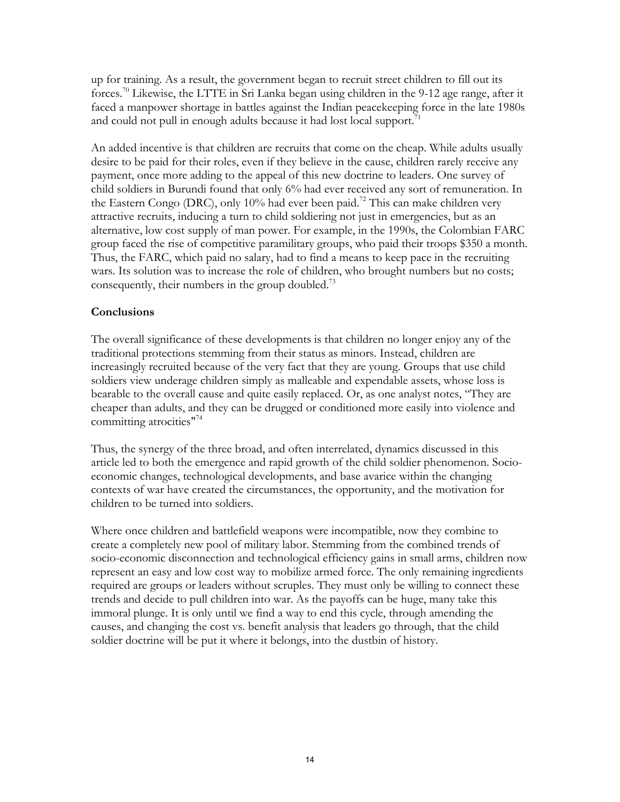up for training. As a result, the government began to recruit street children to fill out its forces.70 Likewise, the LTTE in Sri Lanka began using children in the 9-12 age range, after it faced a manpower shortage in battles against the Indian peacekeeping force in the late 1980s and could not pull in enough adults because it had lost local support.<sup>11</sup>

An added incentive is that children are recruits that come on the cheap. While adults usually desire to be paid for their roles, even if they believe in the cause, children rarely receive any payment, once more adding to the appeal of this new doctrine to leaders. One survey of child soldiers in Burundi found that only 6% had ever received any sort of remuneration. In the Eastern Congo (DRC), only 10% had ever been paid.<sup>72</sup> This can make children very attractive recruits, inducing a turn to child soldiering not just in emergencies, but as an alternative, low cost supply of man power. For example, in the 1990s, the Colombian FARC group faced the rise of competitive paramilitary groups, who paid their troops \$350 a month. Thus, the FARC, which paid no salary, had to find a means to keep pace in the recruiting wars. Its solution was to increase the role of children, who brought numbers but no costs; consequently, their numbers in the group doubled.<sup>73</sup>

### **Conclusions**

The overall significance of these developments is that children no longer enjoy any of the traditional protections stemming from their status as minors. Instead, children are increasingly recruited because of the very fact that they are young. Groups that use child soldiers view underage children simply as malleable and expendable assets, whose loss is bearable to the overall cause and quite easily replaced. Or, as one analyst notes, "They are cheaper than adults, and they can be drugged or conditioned more easily into violence and committing atrocities<sup>"74</sup>

Thus, the synergy of the three broad, and often interrelated, dynamics discussed in this article led to both the emergence and rapid growth of the child soldier phenomenon. Socioeconomic changes, technological developments, and base avarice within the changing contexts of war have created the circumstances, the opportunity, and the motivation for children to be turned into soldiers.

Where once children and battlefield weapons were incompatible, now they combine to create a completely new pool of military labor. Stemming from the combined trends of socio-economic disconnection and technological efficiency gains in small arms, children now represent an easy and low cost way to mobilize armed force. The only remaining ingredients required are groups or leaders without scruples. They must only be willing to connect these trends and decide to pull children into war. As the payoffs can be huge, many take this immoral plunge. It is only until we find a way to end this cycle, through amending the causes, and changing the cost vs. benefit analysis that leaders go through, that the child soldier doctrine will be put it where it belongs, into the dustbin of history.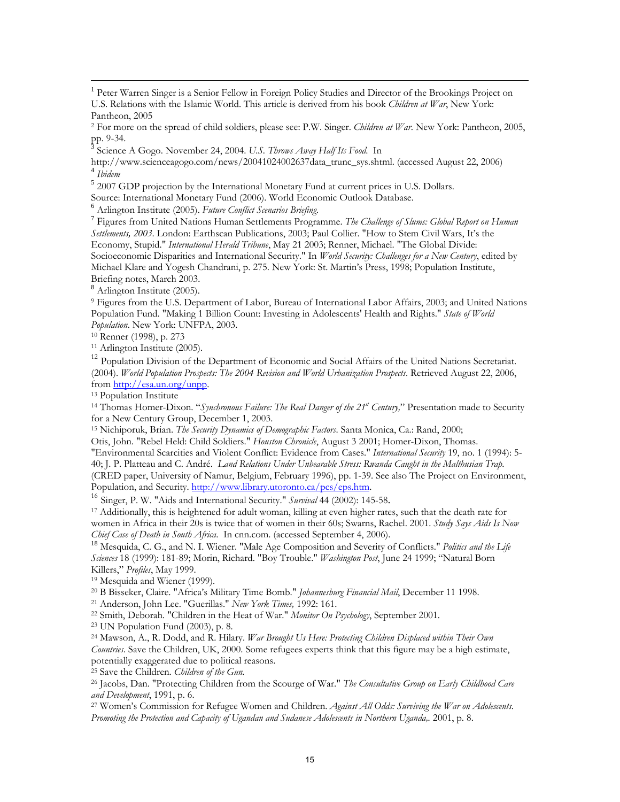<sup>1</sup> Peter Warren Singer is a Senior Fellow in Foreign Policy Studies and Director of the Brookings Project on U.S. Relations with the Islamic World. This article is derived from his book *Children at War*, New York: Pantheon, 2005

<sup>3</sup> Science A Gogo. November 24, 2004. *U.S. Throws Away Half Its Food*. In

http://www.scienceagogo.com/news/20041024002637data\_trunc\_sys.shtml. (accessed August 22, 2006) <sup>4</sup> *Ibidem*

 $52007$  GDP projection by the International Monetary Fund at current prices in U.S. Dollars.<br>Source: International Monetary Fund (2006). World Economic Outlook Database.

 $6$  Arlington Institute (2005). Future Conflict Scenarios Briefing.

 Figures from United Nations Human Settlements Programme. *The Challenge of Slums: Global Report on Human Settlements, 2003*. London: Earthscan Publications, 2003; Paul Collier. "How to Stem Civil Wars, It's the Economy, Stupid." *International Herald Tribune*, May 21 2003; Renner, Michael. "The Global Divide: Socioeconomic Disparities and International Security." In *World Security: Challenges for a New Century*, edited by Michael Klare and Yogesh Chandrani, p. 275. New York: St. Martin's Press, 1998; Population Institute, Briefing notes, March 2003.

<sup>8</sup> Arlington Institute (2005).

9 Figures from the U.S. Department of Labor, Bureau of International Labor Affairs, 2003; and United Nations Population Fund. "Making 1 Billion Count: Investing in Adolescents' Health and Rights." *State of World Population*. New York: UNFPA, 2003. 10 Renner (1998), p. 273

11 Arlington Institute (2005).

<sup>12</sup> Population Division of the Department of Economic and Social Affairs of the United Nations Secretariat. (2004). *World Population Prospects: The 2004 Revision and World Urbanization Prospects*. Retrieved August 22, 2006, from http://esa.un.org/unpp.

<sup>13</sup> Population Institute

<sup>14</sup> Thomas Homer-Dixon. "Synchronous Failure: The Real Danger of the 21<sup>st</sup> Century," Presentation made to Security for a New Century Group, December 1, 2003.<br><sup>15</sup> Nichiporuk, Brian. *The Security Dynamics of Demographic Factors*. Santa Monica, Ca.: Rand, 2000;

Otis, John. "Rebel Held: Child Soldiers." *Houston Chronicle*, August 3 2001; Homer-Dixon, Thomas. "Environmental Scarcities and Violent Conflict: Evidence from Cases." *International Security* 19, no. 1 (1994): 5- 40; J. P. Platteau and C. André. *Land Relations Under Unbearable Stress: Rwanda Caught in the Malthusian Trap*.

(CRED paper, University of Namur, Belgium, February 1996), pp. 1-39. See also The Project on Environment, Population, and Security. http://www.library.utoronto.ca/pcs/eps.htm.<br><sup>16</sup> Singer, P. W. "Aids and International Security." *Survival* 44 (2002): 145-58.<br><sup>17</sup> Additionally, this is heightened for adult woman, killing at ev

women in Africa in their 20s is twice that of women in their 60s; Swarns, Rachel. 2001. *Study Says Aids Is Now Chief Case of Death in South Africa.* In cnn.com. (accessed September 4, 2006).<br><sup>18</sup> Mesquida, C. G., and N. I. Wiener. "Male Age Composition and Severity of Conflicts." *Politics and the Life* 

*Sciences* 18 (1999): 181-89; Morin, Richard. "Boy Trouble." *Washington Post*, June 24 1999; "Natural Born Killers," *Profiles*, May 1999.<br><sup>19</sup> Mesquida and Wiener (1999).<br><sup>20</sup> B Bisseker, Claire. "Africa's Military Time Bomb." *Johannesburg Financial Mail*, December 11 1998.

<sup>21</sup> Anderson, John Lee. "Guerillas." *New York Times*, 1992: 161.<br><sup>22</sup> Smith, Deborah. "Children in the Heat of War." *Monitor On Psychology*, September 2001.<br><sup>23</sup> UN Population Fund (2003), p. 8.

24 Mawson, A., R. Dodd, and R. Hilary. *War Brought Us Here: Protecting Children Displaced within Their Own Countries*. Save the Children, UK, 2000. Some refugees experts think that this figure may be a high estimate, potentially exaggerated due to political reasons. 25 Save the Children. *Children of the Gun.*

26 Jacobs, Dan. "Protecting Children from the Scourge of War." *The Consultative Group on Early Childhood Care and Development*, 1991, p. 6. 27 Women's Commission for Refugee Women and Children. *Against All Odds: Surviving the War on Adolescents.* 

*Promoting the Protection and Capacity of Ugandan and Sudanese Adolescents in Northern Uganda,.* 2001, p. 8.

<sup>2</sup> For more on the spread of child soldiers, please see: P.W. Singer. *Children at War*. New York: Pantheon, 2005, pp. 9-34.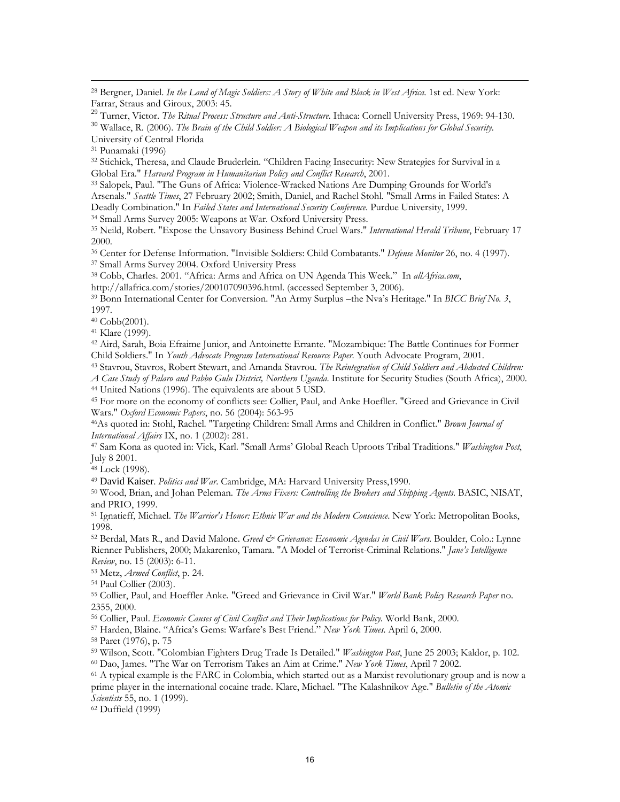28 Bergner, Daniel. *In the Land of Magic Soldiers: A Story of White and Black in West Africa*. 1st ed. New York: Farrar, Straus and Giroux, 2003: 45.

<sup>29</sup> Turner, Victor. *The Ritual Process: Structure and Anti-Structure*. Ithaca: Cornell University Press, 1969: 94-130.<br><sup>30</sup> Wallace, R. (2006). *The Brain of the Child Soldier: A Biological Weapon and its Implications f* 

University of Central Florida

31 Punamaki (1996)

32 Stichick, Theresa, and Claude Bruderlein. "Children Facing Insecurity: New Strategies for Survival in a

Global Era." *Harvard Program in Humanitarian Policy and Conflict Research*, 2001.<br><sup>33</sup> Salopek, Paul. "The Guns of Africa: Violence-Wracked Nations Are Dumping Grounds for World's Arsenals." *Seattle Times*, 27 February 2002; Smith, Daniel, and Rachel Stohl. "Small Arms in Failed States: A

<sup>34</sup> Small Arms Survey 2005: Weapons at War. Oxford University Press.<br><sup>35</sup> Neild, Robert. "Expose the Unsavory Business Behind Cruel Wars." *International Herald Tribune*, February 17 2000.

<sup>36</sup> Center for Defense Information. "Invisible Soldiers: Child Combatants." *Defense Monitor* 26, no. 4 (1997).<br><sup>37</sup> Small Arms Survey 2004. Oxford University Press<br><sup>38</sup> Cobb, Charles. 2001. "Africa: Arms and Africa on UN

http://allafrica.com/stories/200107090396.html. (accessed September 3, 2006).<br><sup>39</sup> Bonn International Center for Conversion. "An Army Surplus –the Nva's Heritage." In *BICC Brief No. 3*, 1997.

40 Cobb(2001).

41 Klare (1999).

42 Aird, Sarah, Boia Efraime Junior, and Antoinette Errante. "Mozambique: The Battle Continues for Former

Child Soldiers." In *Youth Advocate Program International Resource Paper*. Youth Advocate Program, 2001.<br><sup>43</sup> Stavrou, Stavros, Robert Stewart, and Amanda Stavrou. *The Reintegration of Child Soldiers and Abducted Children* 

<sup>44</sup> United Nations (1996). The equivalents are about 5 USD.<br><sup>45</sup> For more on the economy of conflicts see: Collier, Paul, and Anke Hoefller. "Greed and Grievance in Civil" Wars." *Oxford Economic Papers*, no. 56 (2004): 563-95

46As quoted in: Stohl, Rachel. "Targeting Children: Small Arms and Children in Conflict." *Brown Journal of* 

*International Affairs* IX, no. 1 (2002): 281. 47 Sam Kona as quoted in: Vick, Karl. "Small Arms' Global Reach Uproots Tribal Traditions." *Washington Post*, July 8 2001.

48 Lock (1998).

49 David Kaiser. *Politics and War*. Cambridge, MA: Harvard University Press, 1990.<br><sup>50</sup> Wood, Brian, and Johan Peleman. *The Arms Fixers: Controlling the Brokers and Shipping Agents.* BASIC, NISAT, and PRIO, 1999.

51 Ignatieff, Michael. *The Warrior's Honor: Ethnic War and the Modern Conscience*. New York: Metropolitan Books, 1998.

52 Berdal, Mats R., and David Malone. *Greed & Grievance: Economic Agendas in Civil Wars*. Boulder, Colo.: Lynne Rienner Publishers, 2000; Makarenko, Tamara. "A Model of Terrorist-Criminal Relations." *Jane's Intelligence* 

*Review*, no. 15 (2003): 6-11. 53 Metz, *Armed Conflict*, p. 24. 54 Paul Collier (2003).

55 Collier, Paul, and Hoeffler Anke. "Greed and Grievance in Civil War." *World Bank Policy Research Paper* no.

2355, 2000.<br><sup>56</sup> Collier, Paul. *Economic Causes of Civil Conflict and Their Implications for Policy*. World Bank, 2000.

<sup>57</sup> Harden, Blaine. "Africa's Gems: Warfare's Best Friend." *New York Times*. April 6, 2000.<br><sup>58</sup> Paret (1976), p. 75<br><sup>59</sup> Wilson, Scott. "Colombian Fighters Drug Trade Is Detailed." *Washington Post*, June 25 2003; Kaldo

<sup>60</sup> Dao, James. "The War on Terrorism Takes an Aim at Crime." New York Times, April 7 2002.<br><sup>61</sup> A typical example is the FARC in Colombia, which started out as a Marxist revolutionary group and is now a

prime player in the international cocaine trade. Klare, Michael. "The Kalashnikov Age." *Bulletin of the Atomic Scientists* 55, no. 1 (1999).<br><sup>62</sup> Duffield (1999)